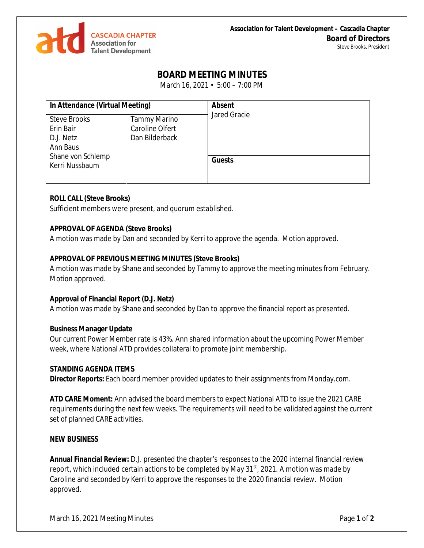

# **BOARD MEETING MINUTES**

March 16, 2021 • 5:00 – 7:00 PM

| In Attendance (Virtual Meeting)               |                                                   | <b>Absent</b>       |
|-----------------------------------------------|---------------------------------------------------|---------------------|
| <b>Steve Brooks</b><br>Erin Bair<br>D.J. Netz | Tammy Marino<br>Caroline Olfert<br>Dan Bilderback | <b>Jared Gracie</b> |
| Ann Baus                                      |                                                   |                     |
| Shane von Schlemp<br>Kerri Nussbaum           |                                                   | <b>Guests</b>       |

## **ROLL CALL (Steve Brooks)**

Sufficient members were present, and quorum established.

## **APPROVAL OF AGENDA (Steve Brooks)**

A motion was made by Dan and seconded by Kerri to approve the agenda. Motion approved.

## **APPROVAL OF PREVIOUS MEETING MINUTES (Steve Brooks)**

A motion was made by Shane and seconded by Tammy to approve the meeting minutes from February. Motion approved.

## **Approval of Financial Report (D.J. Netz)**

A motion was made by Shane and seconded by Dan to approve the financial report as presented.

#### **Business Manager Update**

Our current Power Member rate is 43%. Ann shared information about the upcoming Power Member week, where National ATD provides collateral to promote joint membership.

#### **STANDING AGENDA ITEMS**

**Director Reports:** Each board member provided updates to their assignments from Monday.com.

**ATD CARE Moment:** Ann advised the board members to expect National ATD to issue the 2021 CARE requirements during the next few weeks. The requirements will need to be validated against the current set of planned CARE activities.

#### **NEW BUSINESS**

**Annual Financial Review:** D.J. presented the chapter's responses to the 2020 internal financial review report, which included certain actions to be completed by May  $31<sup>st</sup>$ , 2021. A motion was made by Caroline and seconded by Kerri to approve the responses to the 2020 financial review. Motion approved.